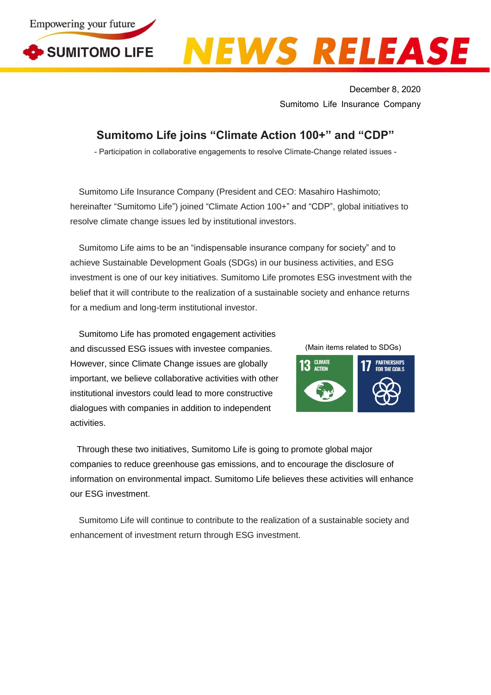

## EWS RELEASE

December 8, 2020 Sumitomo Life Insurance Company

## **Sumitomo Life joins "Climate Action 100+" and "CDP"**

- Participation in collaborative engagements to resolve Climate-Change related issues -

Sumitomo Life Insurance Company (President and CEO: Masahiro Hashimoto; hereinafter "Sumitomo Life") joined "Climate Action 100+" and "CDP", global initiatives to resolve climate change issues led by institutional investors.

Sumitomo Life aims to be an "indispensable insurance company for society" and to achieve Sustainable Development Goals (SDGs) in our business activities, and ESG investment is one of our key initiatives. Sumitomo Life promotes ESG investment with the belief that it will contribute to the realization of a sustainable society and enhance returns for a medium and long-term institutional investor.

Sumitomo Life has promoted engagement activities and discussed ESG issues with investee companies. However, since Climate Change issues are globally important, we believe collaborative activities with other institutional investors could lead to more constructive dialogues with companies in addition to independent activities.

(Main items related to SDGs)



Through these two initiatives, Sumitomo Life is going to promote global major companies to reduce greenhouse gas emissions, and to encourage the disclosure of information on environmental impact. Sumitomo Life believes these activities will enhance our ESG investment.

Sumitomo Life will continue to contribute to the realization of a sustainable society and enhancement of investment return through ESG investment.